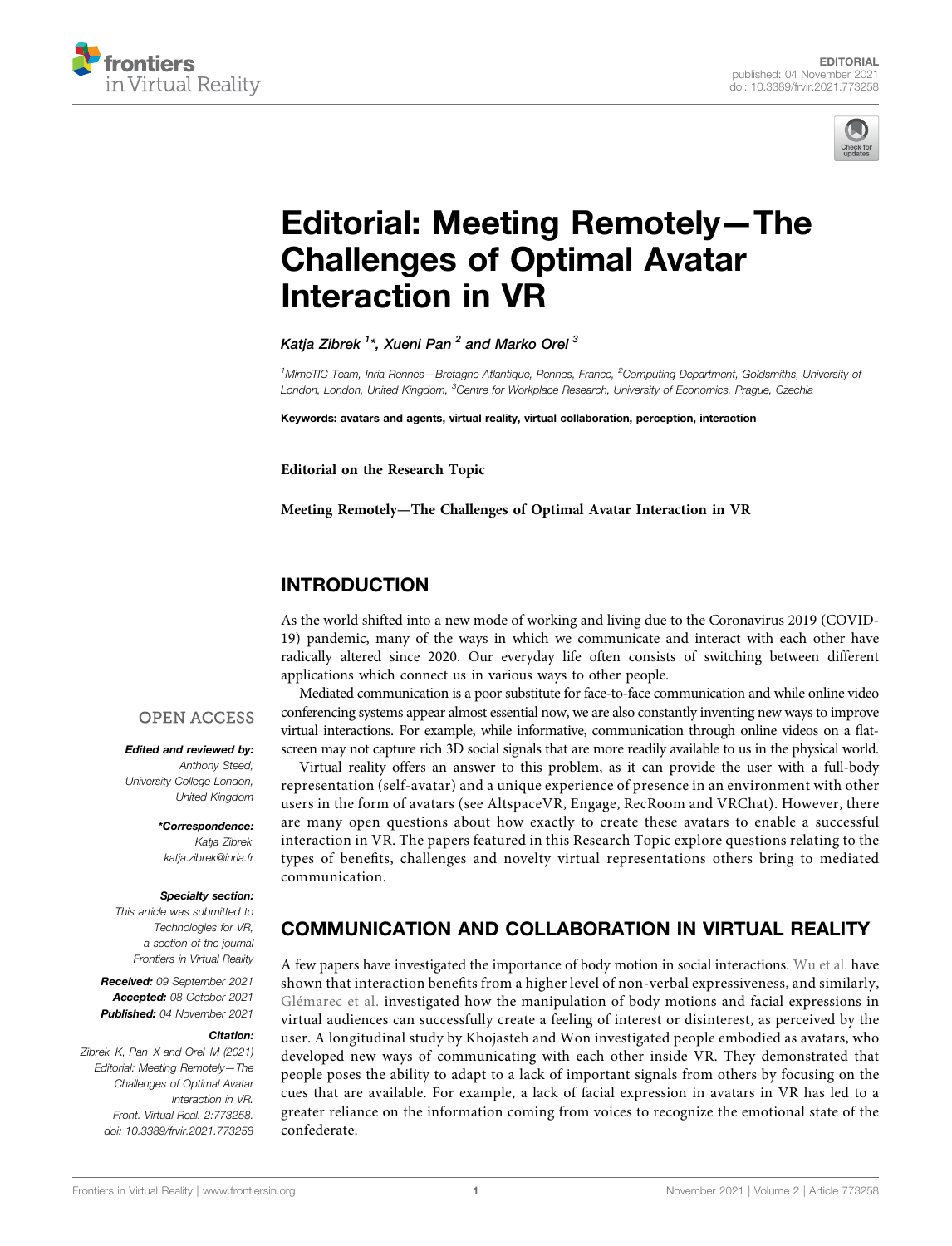



# [Editorial: Meeting Remotely](https://www.frontiersin.org/articles/10.3389/frvir.2021.773258/full)—[The](https://www.frontiersin.org/articles/10.3389/frvir.2021.773258/full) [Challenges of Optimal Avatar](https://www.frontiersin.org/articles/10.3389/frvir.2021.773258/full) [Interaction in VR](https://www.frontiersin.org/articles/10.3389/frvir.2021.773258/full)

Katia Zibrek  $^{1*}$ . Xueni Pan  $^{2}$  and Marko Orel  $^{3}$ 

<sup>1</sup>MimeTIC Team, Inria Rennes—Bretagne Atlantique, Rennes, France, <sup>2</sup>Computing Department, Goldsmiths, University oi London, London, United Kingdom, <sup>3</sup>Centre for Workplace Research, University of Economics, Prague, Czechia

Keywords: avatars and agents, virtual reality, virtual collaboration, perception, interaction

Editorial on the Research Topic

[Meeting Remotely](https://www.frontiersin.org/researchtopic/15319)—[The Challenges of Optimal Avatar Interaction in VR](https://www.frontiersin.org/researchtopic/15319)

## INTRODUCTION

As the world shifted into a new mode of working and living due to the Coronavirus 2019 (COVID-19) pandemic, many of the ways in which we communicate and interact with each other have radically altered since 2020. Our everyday life often consists of switching between different applications which connect us in various ways to other people.

Mediated communication is a poor substitute for face-to-face communication and while online video conferencing systems appear almost essential now, we are also constantly inventing new ways to improve virtual interactions. For example, while informative, communication through online videos on a flatscreen may not capture rich 3D social signals that are more readily available to us in the physical world.

Virtual reality offers an answer to this problem, as it can provide the user with a full-body representation (self-avatar) and a unique experience of presence in an environment with other users in the form of avatars (see AltspaceVR, Engage, RecRoom and VRChat). However, there are many open questions about how exactly to create these avatars to enable a successful interaction in VR. The papers featured in this Research Topic explore questions relating to the types of benefits, challenges and novelty virtual representations others bring to mediated communication.

### **OPEN ACCESS**

Edited and reviewed by: Anthony Steed, University College London, United Kingdom

> \*Correspondence: Katja Zibrek [katja.zibrek@inria.fr](mailto:katja.zibrek@inria.fr)

#### Specialty section:

This article was submitted to Technologies for VR, a section of the journal Frontiers in Virtual Reality

Received: 09 September 2021 Accepted: 08 October 2021 Published: 04 November 2021

#### Citation:

Zibrek K, Pan X and Orel M (2021) Editorial: Meeting Remotely—The Challenges of Optimal Avatar Interaction in VR. Front. Virtual Real. 2:773258. doi: [10.3389/frvir.2021.773258](https://doi.org/10.3389/frvir.2021.773258) COMMUNICATION AND COLLABORATION IN VIRTUAL REALITY

A few papers have investigated the importance of body motion in social interactions. [Wu et al.](https://www.frontiersin.org/articles/10.3389/frvir.2021.641296/full) have shown that interaction benefits from a higher level of non-verbal expressiveness, and similarly, [Glémarec et al.](https://www.frontiersin.org/articles/10.3389/frvir.2021.666232/full) investigated how the manipulation of body motions and facial expressions in virtual audiences can successfully create a feeling of interest or disinterest, as perceived by the user. A longitudinal study by Khojasteh and Won investigated people embodied as avatars, who developed new ways of communicating with each other inside VR. They demonstrated that people poses the ability to adapt to a lack of important signals from others by focusing on the cues that are available. For example, a lack of facial expression in avatars in VR has led to a greater reliance on the information coming from voices to recognize the emotional state of the confederate.